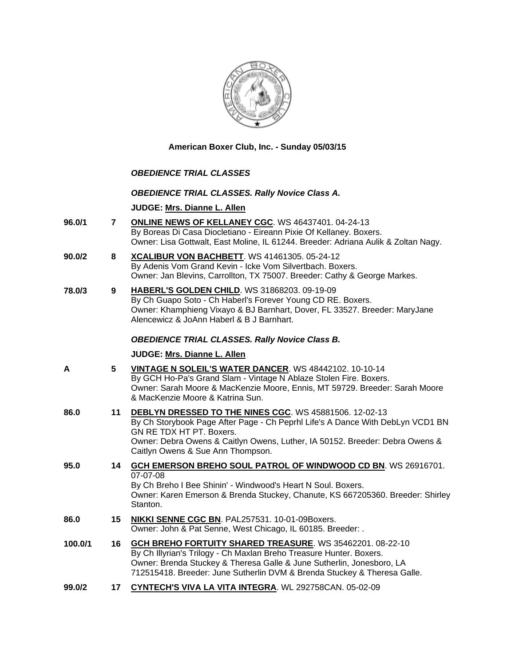

**American Boxer Club, Inc. - Sunday 05/03/15** 

### *OBEDIENCE TRIAL CLASSES*

### *OBEDIENCE TRIAL CLASSES. Rally Novice Class A.*

### **JUDGE: [Mrs. Dianne L. Allen](http://www.infodog.com/judges/5494/juddat.htm)**

- **96.0/1 7 [ONLINE NEWS OF KELLANEY CGC](http://www.infodog.com/files/bdogrsl1.prg;makc=WS%2046437401;mdog=Online_News_Of_Kellaney_CGC;wins=all)**. WS 46437401. 04-24-13 By Boreas Di Casa Diocletiano - Eireann Pixie Of Kellaney. Boxers. Owner: Lisa Gottwalt, East Moline, IL 61244. Breeder: Adriana Aulik & Zoltan Nagy.
- **90.0/2 8 [XCALIBUR VON BACHBETT](http://www.infodog.com/files/bdogrsl1.prg;makc=WS%2041461305;mdog=Xcalibur_Von_Bachbett;wins=all)**. WS 41461305. 05-24-12 By Adenis Vom Grand Kevin - Icke Vom Silvertbach. Boxers. Owner: Jan Blevins, Carrollton, TX 75007. Breeder: Cathy & George Markes.
- **78.0/3 9 [HABERL'S GOLDEN CHILD](http://www.infodog.com/files/bdogrsl1.prg;makc=WS%2031868203;mdog=Haberl_s_Golden_Child;wins=all)**. WS 31868203. 09-19-09 By Ch Guapo Soto - Ch Haberl's Forever Young CD RE. Boxers. Owner: Khamphieng Vixayo & BJ Barnhart, Dover, FL 33527. Breeder: MaryJane Alencewicz & JoAnn Haberl & B J Barnhart.

### *OBEDIENCE TRIAL CLASSES. Rally Novice Class B.*

#### **JUDGE: [Mrs. Dianne L. Allen](http://www.infodog.com/judges/5494/juddat.htm)**

| А | <b>VINTAGE N SOLEIL'S WATER DANCER. WS 48442102. 10-10-14</b>               |
|---|-----------------------------------------------------------------------------|
|   | By GCH Ho-Pa's Grand Slam - Vintage N Ablaze Stolen Fire. Boxers.           |
|   | Owner: Sarah Moore & MacKenzie Moore, Ennis, MT 59729. Breeder: Sarah Moore |
|   | & MacKenzie Moore & Katrina Sun.                                            |
|   |                                                                             |

- **86.0 11 [DEBLYN DRESSED TO THE NINES CGC](http://www.infodog.com/files/bdogrsl1.prg;makc=WS%2045881506;mdog=DebLyn_Dressed_To_The_Nines_CGC;wins=all)**. WS 45881506. 12-02-13 By Ch Storybook Page After Page - Ch Peprhl Life's A Dance With DebLyn VCD1 BN GN RE TDX HT PT. Boxers. Owner: Debra Owens & Caitlyn Owens, Luther, IA 50152. Breeder: Debra Owens & Caitlyn Owens & Sue Ann Thompson.
- **95.0 14 [GCH EMERSON BREHO SOUL PATROL OF WINDWOOD CD BN](http://www.infodog.com/files/bdogrsl1.prg;makc=WS%2026916701;mdog=GCH_Emerson_Breho_Soul_Patrol_Of_Windwood_CD_BN;wins=all)**. WS 26916701. 07-07-08 By Ch Breho I Bee Shinin' - Windwood's Heart N Soul. Boxers. Owner: Karen Emerson & Brenda Stuckey, Chanute, KS 667205360. Breeder: Shirley Stanton. **86.0 15 [NIKKI SENNE CGC BN](http://www.infodog.com/files/bdogrsl1.prg;makc=PAL257531;mdog=Nikki_Senne_CGC_BN;wins=all)**. PAL257531. 10-01-09Boxers.
	- Owner: John & Pat Senne, West Chicago, IL 60185. Breeder: .
- **100.0/1 16 [GCH BREHO FORTUITY SHARED TREASURE](http://www.infodog.com/files/bdogrsl1.prg;makc=WS%2035462201;mdog=GCH_Breho_Fortuity_Shared_Treasure;wins=all)**. WS 35462201. 08-22-10 By Ch Illyrian's Trilogy - Ch Maxlan Breho Treasure Hunter. Boxers. Owner: Brenda Stuckey & Theresa Galle & June Sutherlin, Jonesboro, LA 712515418. Breeder: June Sutherlin DVM & Brenda Stuckey & Theresa Galle.
- **99.0/2 17 [CYNTECH'S VIVA LA VITA INTEGRA](http://www.infodog.com/files/bdogrsl1.prg;makc=WL%20292758CAN;mdog=Cyntech_s_Viva_La_Vita_Integra;wins=all)**. WL 292758CAN. 05-02-09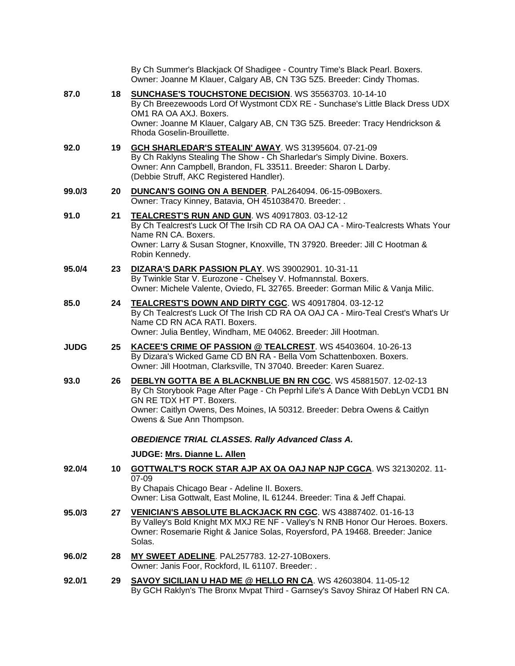|             |    | By Ch Summer's Blackjack Of Shadigee - Country Time's Black Pearl. Boxers.<br>Owner: Joanne M Klauer, Calgary AB, CN T3G 5Z5. Breeder: Cindy Thomas.                                                                                                                                   |
|-------------|----|----------------------------------------------------------------------------------------------------------------------------------------------------------------------------------------------------------------------------------------------------------------------------------------|
| 87.0        | 18 | SUNCHASE'S TOUCHSTONE DECISION. WS 35563703. 10-14-10<br>By Ch Breezewoods Lord Of Wystmont CDX RE - Sunchase's Little Black Dress UDX<br>OM1 RA OA AXJ. Boxers.<br>Owner: Joanne M Klauer, Calgary AB, CN T3G 5Z5. Breeder: Tracy Hendrickson &<br>Rhoda Goselin-Brouillette.         |
| 92.0        | 19 | <b>GCH SHARLEDAR'S STEALIN' AWAY. WS 31395604. 07-21-09</b><br>By Ch Raklyns Stealing The Show - Ch Sharledar's Simply Divine. Boxers.<br>Owner: Ann Campbell, Brandon, FL 33511. Breeder: Sharon L Darby.<br>(Debbie Struff, AKC Registered Handler).                                 |
| 99.0/3      | 20 | <b>DUNCAN'S GOING ON A BENDER.</b> PAL264094. 06-15-09Boxers.<br>Owner: Tracy Kinney, Batavia, OH 451038470. Breeder: .                                                                                                                                                                |
| 91.0        | 21 | <b>TEALCREST'S RUN AND GUN. WS 40917803. 03-12-12</b><br>By Ch Tealcrest's Luck Of The Irsih CD RA OA OAJ CA - Miro-Tealcrests Whats Your<br>Name RN CA. Boxers.<br>Owner: Larry & Susan Stogner, Knoxville, TN 37920. Breeder: Jill C Hootman &<br>Robin Kennedy.                     |
| 95.0/4      | 23 | DIZARA'S DARK PASSION PLAY. WS 39002901. 10-31-11<br>By Twinkle Star V. Eurozone - Chelsey V. Hofmannstal. Boxers.<br>Owner: Michele Valente, Oviedo, FL 32765. Breeder: Gorman Milic & Vanja Milic.                                                                                   |
| 85.0        | 24 | TEALCREST'S DOWN AND DIRTY CGC. WS 40917804. 03-12-12<br>By Ch Tealcrest's Luck Of The Irish CD RA OA OAJ CA - Miro-Teal Crest's What's Ur<br>Name CD RN ACA RATI. Boxers.<br>Owner: Julia Bentley, Windham, ME 04062. Breeder: Jill Hootman.                                          |
| <b>JUDG</b> | 25 | KACEE'S CRIME OF PASSION @ TEALCREST. WS 45403604. 10-26-13<br>By Dizara's Wicked Game CD BN RA - Bella Vom Schattenboxen. Boxers.<br>Owner: Jill Hootman, Clarksville, TN 37040. Breeder: Karen Suarez.                                                                               |
| 93.0        | 26 | DEBLYN GOTTA BE A BLACKNBLUE BN RN CGC. WS 45881507. 12-02-13<br>By Ch Storybook Page After Page - Ch Peprhl Life's A Dance With DebLyn VCD1 BN<br>GN RE TDX HT PT. Boxers.<br>Owner: Caitlyn Owens, Des Moines, IA 50312. Breeder: Debra Owens & Caitlyn<br>Owens & Sue Ann Thompson. |
|             |    | <b>OBEDIENCE TRIAL CLASSES. Rally Advanced Class A.</b>                                                                                                                                                                                                                                |
|             |    | JUDGE: Mrs. Dianne L. Allen                                                                                                                                                                                                                                                            |
| 92.0/4      | 10 | <b>GOTTWALT'S ROCK STAR AJP AX OA OAJ NAP NJP CGCA. WS 32130202. 11-</b><br>07-09<br>By Chapais Chicago Bear - Adeline II. Boxers.<br>Owner: Lisa Gottwalt, East Moline, IL 61244. Breeder: Tina & Jeff Chapai.                                                                        |
| 95.0/3      | 27 | VENICIAN'S ABSOLUTE BLACKJACK RN CGC. WS 43887402. 01-16-13<br>By Valley's Bold Knight MX MXJ RE NF - Valley's N RNB Honor Our Heroes. Boxers.<br>Owner: Rosemarie Right & Janice Solas, Royersford, PA 19468. Breeder: Janice<br>Solas.                                               |
| 96.0/2      | 28 | MY SWEET ADELINE. PAL257783. 12-27-10Boxers.<br>Owner: Janis Foor, Rockford, IL 61107. Breeder: .                                                                                                                                                                                      |
| 92.0/1      | 29 | <b>SAVOY SICILIAN U HAD ME @ HELLO RN CA. WS 42603804. 11-05-12</b><br>By GCH Raklyn's The Bronx Mvpat Third - Garnsey's Savoy Shiraz Of Haberl RN CA.                                                                                                                                 |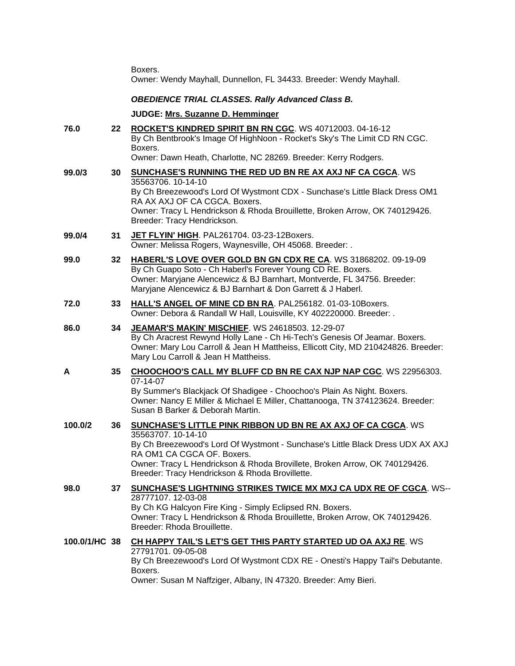Boxers.

Owner: Wendy Mayhall, Dunnellon, FL 34433. Breeder: Wendy Mayhall.

# *OBEDIENCE TRIAL CLASSES. Rally Advanced Class B.*

# **JUDGE: [Mrs. Suzanne D. Hemminger](http://www.infodog.com/judges/15146/juddat.htm)**

| 76.0          | 22 | ROCKET'S KINDRED SPIRIT BN RN CGC. WS 40712003. 04-16-12<br>By Ch Bentbrook's Image Of HighNoon - Rocket's Sky's The Limit CD RN CGC.<br>Boxers.<br>Owner: Dawn Heath, Charlotte, NC 28269. Breeder: Kerry Rodgers.                                                                                                                       |
|---------------|----|-------------------------------------------------------------------------------------------------------------------------------------------------------------------------------------------------------------------------------------------------------------------------------------------------------------------------------------------|
| 99.0/3        | 30 | <b>SUNCHASE'S RUNNING THE RED UD BN RE AX AXJ NF CA CGCA. WS</b><br>35563706.10-14-10<br>By Ch Breezewood's Lord Of Wystmont CDX - Sunchase's Little Black Dress OM1<br>RA AX AXJ OF CA CGCA. Boxers.<br>Owner: Tracy L Hendrickson & Rhoda Brouillette, Broken Arrow, OK 740129426.                                                      |
| 99.0/4        | 31 | Breeder: Tracy Hendrickson.<br>JET FLYIN' HIGH. PAL261704. 03-23-12Boxers.<br>Owner: Melissa Rogers, Waynesville, OH 45068. Breeder: .                                                                                                                                                                                                    |
| 99.0          | 32 | HABERL'S LOVE OVER GOLD BN GN CDX RE CA. WS 31868202. 09-19-09<br>By Ch Guapo Soto - Ch Haberl's Forever Young CD RE. Boxers.<br>Owner: Maryjane Alencewicz & BJ Barnhart, Montverde, FL 34756. Breeder:<br>Maryjane Alencewicz & BJ Barnhart & Don Garrett & J Haberl.                                                                   |
| 72.0          | 33 | HALL'S ANGEL OF MINE CD BN RA. PAL256182. 01-03-10Boxers.<br>Owner: Debora & Randall W Hall, Louisville, KY 402220000. Breeder: .                                                                                                                                                                                                         |
| 86.0          | 34 | JEAMAR'S MAKIN' MISCHIEF. WS 24618503. 12-29-07<br>By Ch Aracrest Rewynd Holly Lane - Ch Hi-Tech's Genesis Of Jeamar. Boxers.<br>Owner: Mary Lou Carroll & Jean H Mattheiss, Ellicott City, MD 210424826. Breeder:<br>Mary Lou Carroll & Jean H Mattheiss.                                                                                |
| A             | 35 | <b>CHOOCHOO'S CALL MY BLUFF CD BN RE CAX NJP NAP CGC. WS 22956303.</b><br>07-14-07<br>By Summer's Blackjack Of Shadigee - Choochoo's Plain As Night. Boxers.<br>Owner: Nancy E Miller & Michael E Miller, Chattanooga, TN 374123624. Breeder:<br>Susan B Barker & Deborah Martin.                                                         |
| 100.0/2       | 36 | <b>SUNCHASE'S LITTLE PINK RIBBON UD BN RE AX AXJ OF CA CGCA. WS</b><br>35563707.10-14-10<br>By Ch Breezewood's Lord Of Wystmont - Sunchase's Little Black Dress UDX AX AXJ<br>RA OM1 CA CGCA OF. Boxers.<br>Owner: Tracy L Hendrickson & Rhoda Brovillete, Broken Arrow, OK 740129426.<br>Breeder: Tracy Hendrickson & Rhoda Brovillette. |
| 98.0          | 37 | <b>SUNCHASE'S LIGHTNING STRIKES TWICE MX MXJ CA UDX RE OF CGCA. WS--</b><br>28777107.12-03-08<br>By Ch KG Halcyon Fire King - Simply Eclipsed RN. Boxers.<br>Owner: Tracy L Hendrickson & Rhoda Brouillette, Broken Arrow, OK 740129426.<br>Breeder: Rhoda Brouillette.                                                                   |
| 100.0/1/HC 38 |    | CH HAPPY TAIL'S LET'S GET THIS PARTY STARTED UD OA AXJ RE. WS<br>27791701.09-05-08<br>By Ch Breezewood's Lord Of Wystmont CDX RE - Onesti's Happy Tail's Debutante.<br>Boxers.<br>Owner: Susan M Naffziger, Albany, IN 47320. Breeder: Amy Bieri.                                                                                         |